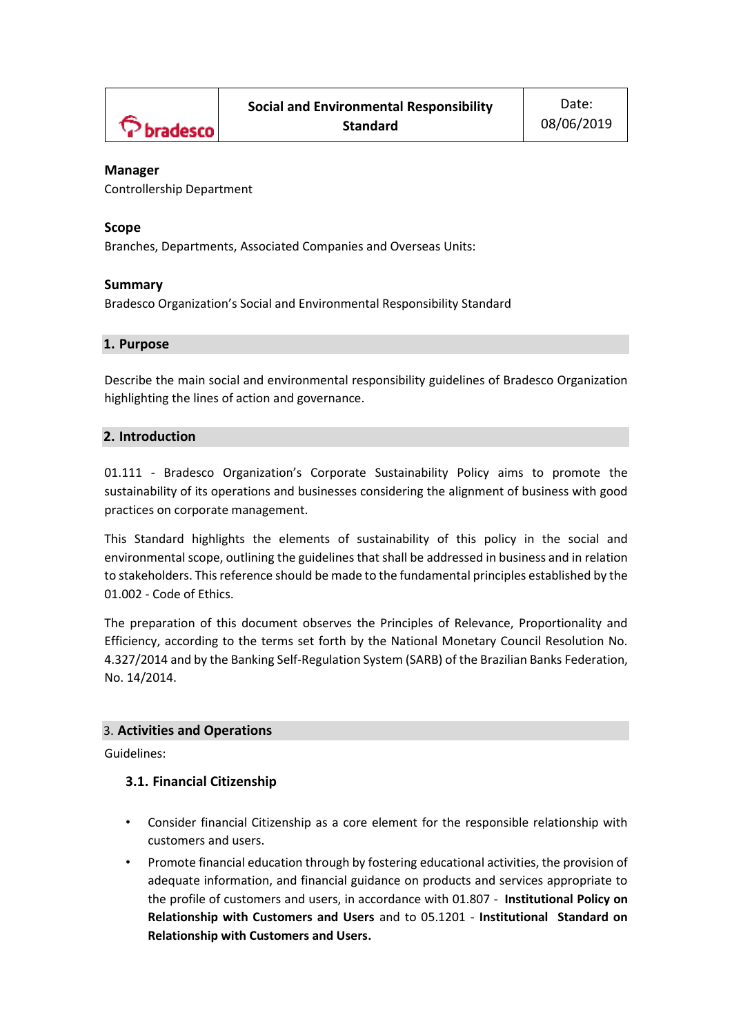

### **Manager**

Controllership Department

### **Scope**

Branches, Departments, Associated Companies and Overseas Units:

### **Summary**

Bradesco Organization's Social and Environmental Responsibility Standard

### **1. Purpose**

Describe the main social and environmental responsibility guidelines of Bradesco Organization highlighting the lines of action and governance.

### **2. Introduction**

01.111 - Bradesco Organization's Corporate Sustainability Policy aims to promote the sustainability of its operations and businesses considering the alignment of business with good practices on corporate management.

This Standard highlights the elements of sustainability of this policy in the social and environmental scope, outlining the guidelines that shall be addressed in business and in relation to stakeholders. This reference should be made to the fundamental principles established by the 01.002 - Code of Ethics.

The preparation of this document observes the Principles of Relevance, Proportionality and Efficiency, according to the terms set forth by the National Monetary Council Resolution No. 4.327/2014 and by the Banking Self-Regulation System (SARB) of the Brazilian Banks Federation, No. 14/2014.

### 3. **Activities and Operations**

Guidelines:

#### **3.1. Financial Citizenship**

- Consider financial Citizenship as a core element for the responsible relationship with customers and users.
- Promote financial education through by fostering educational activities, the provision of adequate information, and financial guidance on products and services appropriate to the profile of customers and users, in accordance with 01.807 - **[Institutional Policy on](https://portalnormaslive.net.bradesco.com.br/portal/site/Normativo/menuitem.c93098df5f02e2531444144483208a0c/?vgnextoid=cb992359ed0af510VgnVCM1000000316de0aRCRD&vgnextchannel=b1874d04de041310VgnVCM1000003c0ac10aRCRD&vgnextfmt=default¶m=popupbusca&query=relacionamento%20com%20cliente)  [Relationship with Customers and Users](https://portalnormaslive.net.bradesco.com.br/portal/site/Normativo/menuitem.c93098df5f02e2531444144483208a0c/?vgnextoid=cb992359ed0af510VgnVCM1000000316de0aRCRD&vgnextchannel=b1874d04de041310VgnVCM1000003c0ac10aRCRD&vgnextfmt=default¶m=popupbusca&query=relacionamento%20com%20cliente)** [and](https://portalnormaslive.net.bradesco.com.br/portal/site/Normativo/menuitem.c93098df5f02e2531444144483208a0c/?vgnextoid=cb992359ed0af510VgnVCM1000000316de0aRCRD&vgnextchannel=b1874d04de041310VgnVCM1000003c0ac10aRCRD&vgnextfmt=default¶m=popupbusca&query=relacionamento%20com%20cliente) to 05.1201 - **[Institutional Standard on](https://portalnormaslive.net.bradesco.com.br/portal/site/Normativo/menuitem.812b0d7f582641110563056383208a0c/?vgnextoid=10ba2359ed0af510VgnVCM1000000316de0aRCRD&vgnextchannel=e7b9bd7d2034b510VgnVCM1000000316de0aRCRD&vgnextfmt=default¶m=popupbusca&query=relacionamento%20com%20cliente)  [Relationship with Customers and Users.](https://portalnormaslive.net.bradesco.com.br/portal/site/Normativo/menuitem.812b0d7f582641110563056383208a0c/?vgnextoid=10ba2359ed0af510VgnVCM1000000316de0aRCRD&vgnextchannel=e7b9bd7d2034b510VgnVCM1000000316de0aRCRD&vgnextfmt=default¶m=popupbusca&query=relacionamento%20com%20cliente)**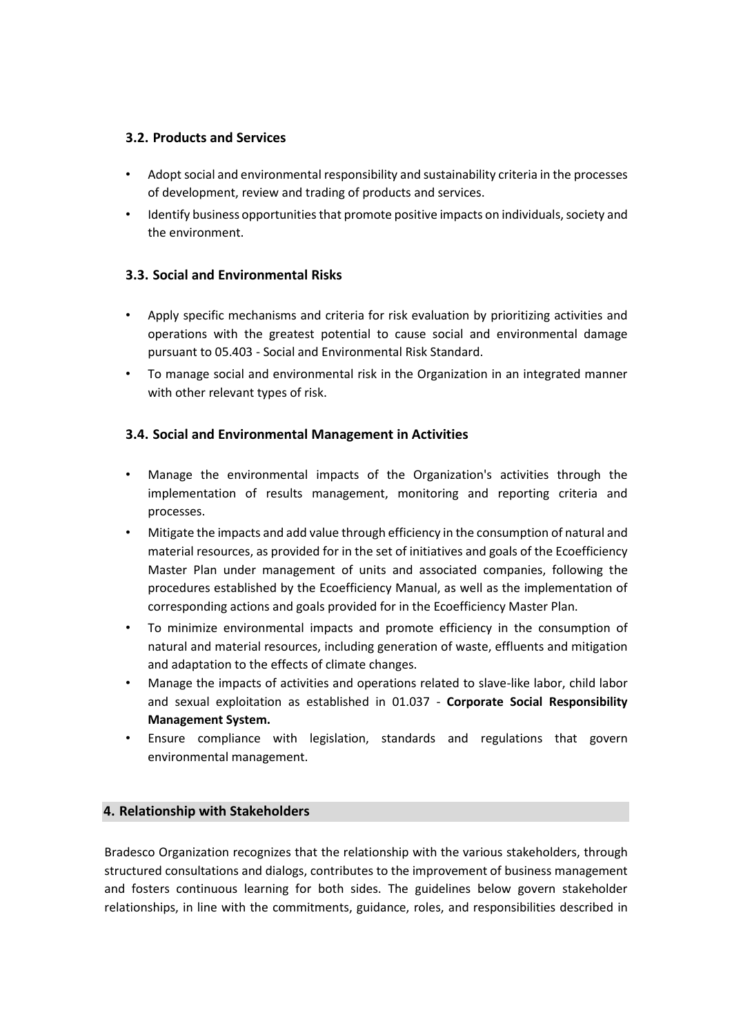## **3.2. Products and Services**

- Adopt social and environmental responsibility and sustainability criteria in the processes of development, review and trading of products and services.
- Identify business opportunities that promote positive impacts on individuals, society and the environment.

## **3.3. Social and Environmental Risks**

- Apply specific mechanisms and criteria for risk evaluation by prioritizing activities and operations with the greatest potential to cause social and environmental damage pursuant to 05.403 - Social and Environmental Risk Standard.
- To manage social and environmental risk in the Organization in an integrated manner with other relevant types of risk.

## **3.4. Social and Environmental Management in Activities**

- Manage the environmental impacts of the Organization's activities through the implementation of results management, monitoring and reporting criteria and processes.
- Mitigate the impacts and add value through efficiency in the consumption of natural and material resources, as provided for in the set of initiatives and goals of the Ecoefficiency Master Plan under management of units and associated companies, following the procedures established by the Ecoefficiency Manual, as well as the implementation of corresponding actions and goals provided for in the Ecoefficiency Master Plan.
- To minimize environmental impacts and promote efficiency in the consumption of natural and material resources, including generation of waste, effluents and mitigation and adaptation to the effects of climate changes.
- Manage the impacts of activities and operations related to slave-like labor, child labor and sexual exploitation as established in 01.037 - **Corporate Social Responsibility Management System.**
- Ensure compliance with legislation, standards and regulations that govern environmental management.

### **4. Relationship with Stakeholders**

Bradesco Organization recognizes that the relationship with the various stakeholders, through structured consultations and dialogs, contributes to the improvement of business management and fosters continuous learning for both sides. The guidelines below govern stakeholder relationships, in line with the commitments, guidance, roles, and responsibilities described in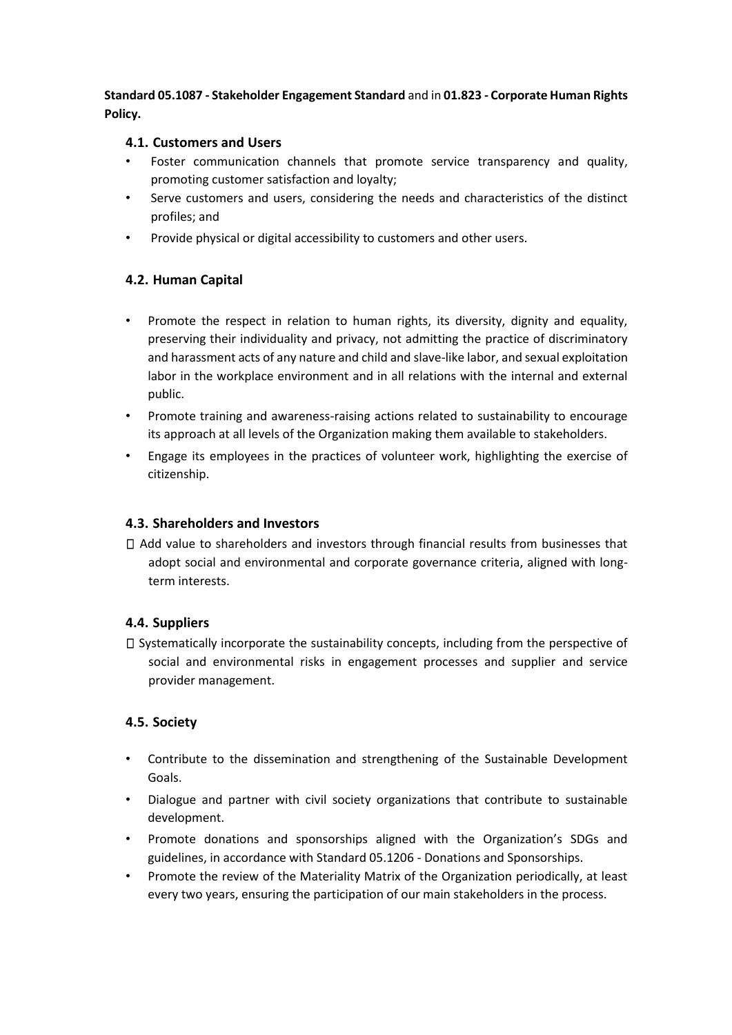**Standard 05.1087 - Stakeholder Engagement Standard** and in **01.823 - Corporate Human Rights Policy.** 

## **4.1. Customers and Users**

- Foster communication channels that promote service transparency and quality, promoting customer satisfaction and loyalty;
- Serve customers and users, considering the needs and characteristics of the distinct profiles; and
- Provide physical or digital accessibility to customers and other users.

# **4.2. Human Capital**

- Promote the respect in relation to human rights, its diversity, dignity and equality, preserving their individuality and privacy, not admitting the practice of discriminatory and harassment acts of any nature and child and slave-like labor, and sexual exploitation labor in the workplace environment and in all relations with the internal and external public.
- Promote training and awareness-raising actions related to sustainability to encourage its approach at all levels of the Organization making them available to stakeholders.
- Engage its employees in the practices of volunteer work, highlighting the exercise of citizenship.

## **4.3. Shareholders and Investors**

Add value to shareholders and investors through financial results from businesses that adopt social and environmental and corporate governance criteria, aligned with longterm interests.

# **4.4. Suppliers**

 $\square$  Systematically incorporate the sustainability concepts, including from the perspective of social and environmental risks in engagement processes and supplier and service provider management.

# **4.5. Society**

- Contribute to the dissemination and strengthening of the Sustainable Development Goals.
- Dialogue and partner with civil society organizations that contribute to sustainable development.
- Promote donations and sponsorships aligned with the Organization's SDGs and guidelines, in accordance with Standard 05.1206 - Donations and Sponsorships.
- Promote the review of the Materiality Matrix of the Organization periodically, at least every two years, ensuring the participation of our main stakeholders in the process.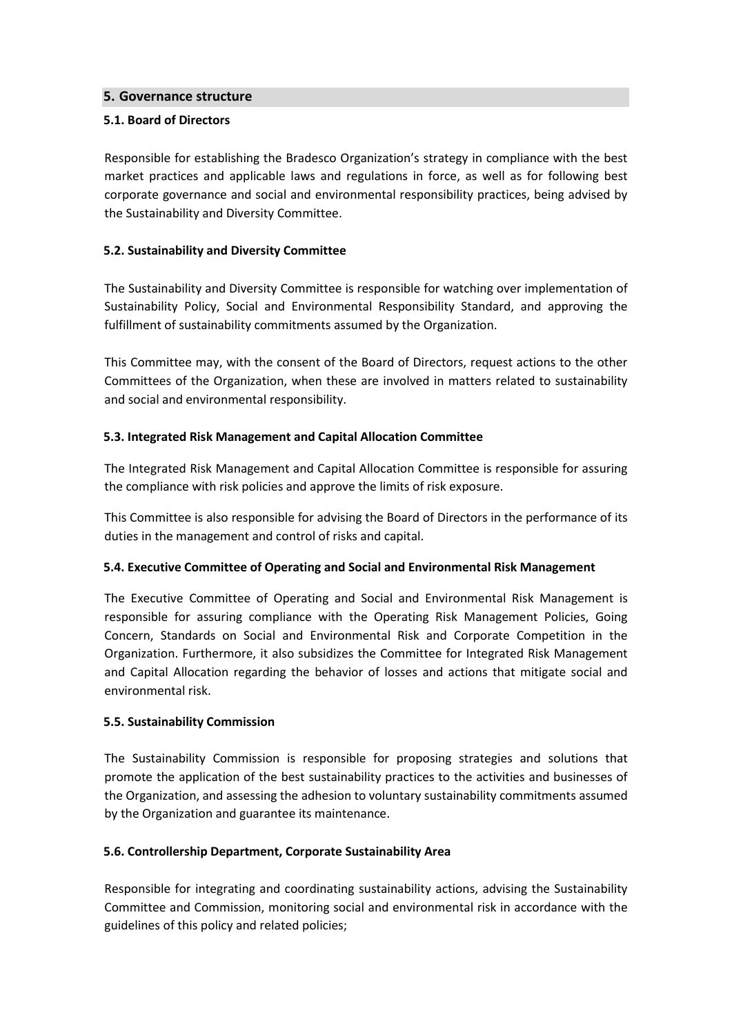### **5. Governance structure**

### **5.1. Board of Directors**

Responsible for establishing the Bradesco Organization's strategy in compliance with the best market practices and applicable laws and regulations in force, as well as for following best corporate governance and social and environmental responsibility practices, being advised by the Sustainability and Diversity Committee.

### **5.2. Sustainability and Diversity Committee**

The Sustainability and Diversity Committee is responsible for watching over implementation of Sustainability Policy, Social and Environmental Responsibility Standard, and approving the fulfillment of sustainability commitments assumed by the Organization.

This Committee may, with the consent of the Board of Directors, request actions to the other Committees of the Organization, when these are involved in matters related to sustainability and social and environmental responsibility.

### **5.3. Integrated Risk Management and Capital Allocation Committee**

The Integrated Risk Management and Capital Allocation Committee is responsible for assuring the compliance with risk policies and approve the limits of risk exposure.

This Committee is also responsible for advising the Board of Directors in the performance of its duties in the management and control of risks and capital.

#### **5.4. Executive Committee of Operating and Social and Environmental Risk Management**

The Executive Committee of Operating and Social and Environmental Risk Management is responsible for assuring compliance with the Operating Risk Management Policies, Going Concern, Standards on Social and Environmental Risk and Corporate Competition in the Organization. Furthermore, it also subsidizes the Committee for Integrated Risk Management and Capital Allocation regarding the behavior of losses and actions that mitigate social and environmental risk.

#### **5.5. Sustainability Commission**

The Sustainability Commission is responsible for proposing strategies and solutions that promote the application of the best sustainability practices to the activities and businesses of the Organization, and assessing the adhesion to voluntary sustainability commitments assumed by the Organization and guarantee its maintenance.

#### **5.6. Controllership Department, Corporate Sustainability Area**

Responsible for integrating and coordinating sustainability actions, advising the Sustainability Committee and Commission, monitoring social and environmental risk in accordance with the guidelines of this policy and related policies;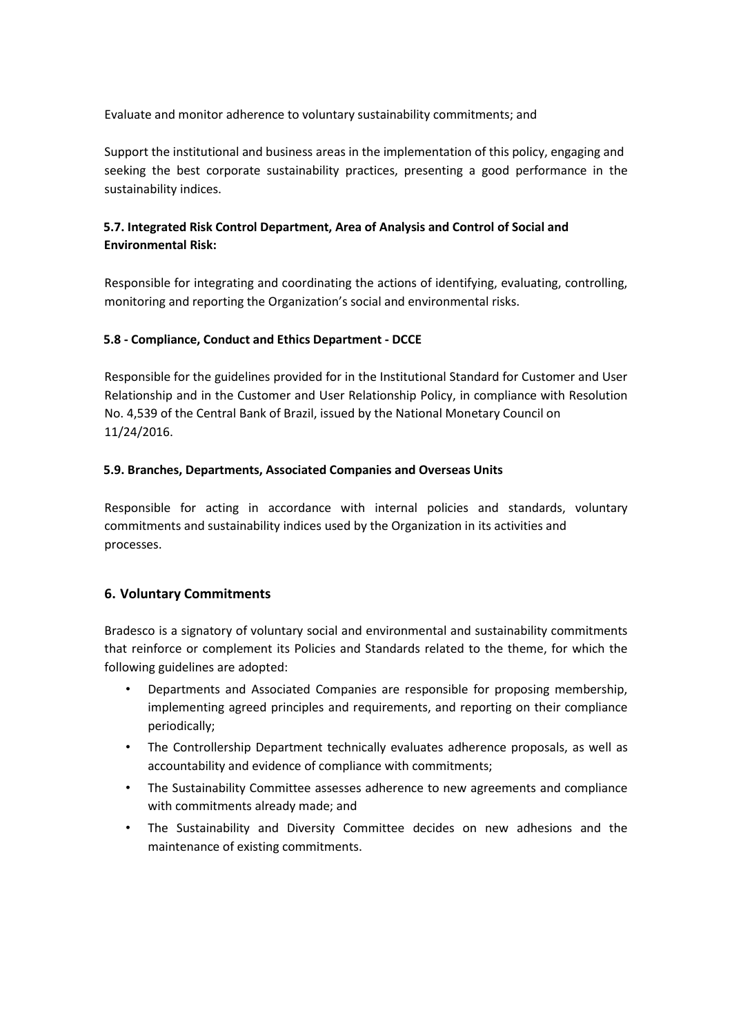Evaluate and monitor adherence to voluntary sustainability commitments; and

Support the institutional and business areas in the implementation of this policy, engaging and seeking the best corporate sustainability practices, presenting a good performance in the sustainability indices.

# **5.7. Integrated Risk Control Department, Area of Analysis and Control of Social and Environmental Risk:**

Responsible for integrating and coordinating the actions of identifying, evaluating, controlling, monitoring and reporting the Organization's social and environmental risks.

### **5.8 - Compliance, Conduct and Ethics Department - DCCE**

Responsible for the guidelines provided for in the Institutional Standard for Customer and User Relationship and in the Customer and User Relationship Policy, in compliance with Resolution No. 4,539 of the Central Bank of Brazil, issued by the National Monetary Council on 11/24/2016.

### **5.9. Branches, Departments, Associated Companies and Overseas Units**

Responsible for acting in accordance with internal policies and standards, voluntary commitments and sustainability indices used by the Organization in its activities and processes.

### **6. Voluntary Commitments**

Bradesco is a signatory of voluntary social and environmental and sustainability commitments that reinforce or complement its Policies and Standards related to the theme, for which the following guidelines are adopted:

- Departments and Associated Companies are responsible for proposing membership, implementing agreed principles and requirements, and reporting on their compliance periodically;
- The Controllership Department technically evaluates adherence proposals, as well as accountability and evidence of compliance with commitments;
- The Sustainability Committee assesses adherence to new agreements and compliance with commitments already made; and
- The Sustainability and Diversity Committee decides on new adhesions and the maintenance of existing commitments.